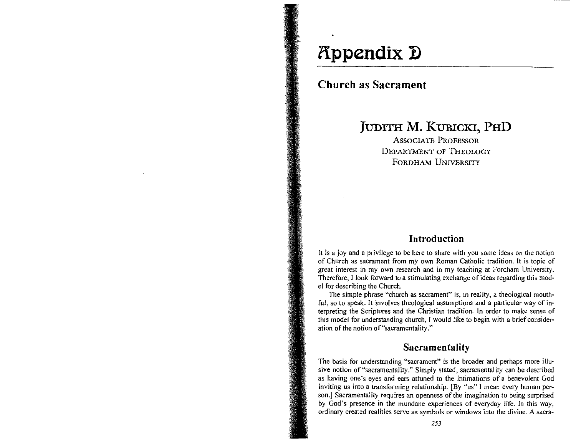# **(Ippendix 1)**

## **Church as Sacrament**

## **JUDITH M. KUBICKI, PHD**

ASSOCIATE PROFESSOR DEPARTMENT OF THEOLOGY FORDHAM UNIVERSITY

## **Introduction**

 $\mathbf{I}$  is a joy and a privilege to share with you some ideas on the notion  $\mathbf{I}$ is a joy and a privilege to be here to share with you some ideas on the notion.  $\epsilon$ of Church as sacrament from my own Roman Catholic tradition. It is topic of great interest in my own research and in my teaching at Fordham University. Therefore, I look forward to a stimulating exchange of ideas regarding this model for describing the Church. **The simple pharmach as sacrament is a theological mouth-of-change is a theological model mouth-of-change is a theological model mouth-of-change is a theological model model model model model model model model model model** 

Fine simple phrase "church as sacrament" is, in reality, a theological mouthful, so to speak. It involves theological assumptions and a particular way of interpreting the Scriptures and the Christian tradition. In order to make sense of this model for understanding church, I would like to begin with a brief consideration of the notion of "sacramentality."

## **Sacramentality**

The basis for understanding "sacrament" is the broader and perhaps more illune basis for understanding sacrament is the broader and perhaps more indesive notion of "sacramentality." Simply stated, sacramentality can be described as having one's eyes and ears attuned to the intimations of a benevolent God inviting us into a transforming relationship. [By "us" I mean every human person.] Sacramentality requires an openness of the imagination to being surprised by God's presence in the mundane experiences of everyday life. In this way, ordinary created realities serve as symbols or windows into the divine. A sacra-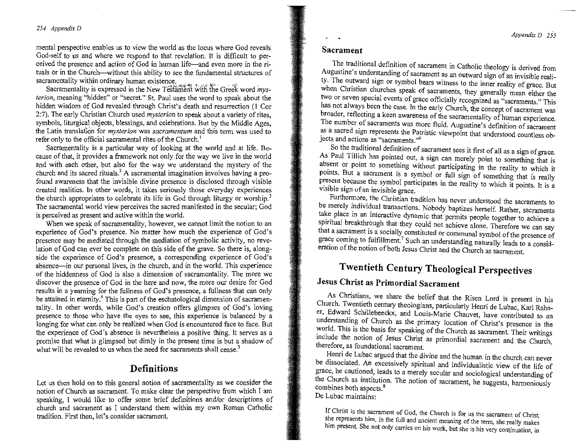#### *254 Appendix D*

mental perspective enables us to view the world as the locus where God reveals God-self to us and where we respond to thai revelation. It is difficult to perceived the presence and action of God in human life—and even more in the rituals or in the Church-without this ability to see the fundamental structures of sacramentality within ordinary human existence.

Sacramentality is expressed in the New Testament with the Greek word *mys-{erion,* **meaning "hidden" or "secret." St. Paul uses the word to speak. about the**  hidden wisdom of God revealed through Christ's death and resurrection (1 Cor 2:7). The early Christian Church used *mysterion* to speak about a variety of rites, symbols, liturgical objects, blessings, and celebrations. But by the Middle Ages, the Latin translation for *mysterion* was *sacramentum* and this term was used to refer only to the official sacramental rites of the Church.<sup>1</sup>

Sacramentality is a particular way of looking at the world and at life. Because of that, it provides a framework not only for the way we live in the world and with each other, but also for the way we understand the mystery of the church and its sacred rituals.' A sacramental imagination involves having a profound awareness that the invisible divine presence is disclosed through visible created realities. In other words, it takes seriously those everyday experiences the church appropriates to celebrate its life in God through liturgy or worship.<sup>3</sup> The sacramental world view perceives the sacred manifested in the secular; God is perceived as present and active within the world.

When we speak of sacramentality, however, we cannot limit the notion to an experience of God's presence. No matter how much the experience of God's presence may be mediated through the mediation of symbolic activity, no revelation of God can ever be complete on this side of the grave. So there is, alongside the experience of God's presence, a corresponding experience of God's absence-in our personal lives, in the church, and in the world. This experience of the hiddenness of God is also a dimension of sacramentality. The more we discover the presence of God in the here and now, the more our desire for God results in a yearning for the fullness of God's presence, a fullness that can only be attained in eternity.<sup>4</sup> This is part of the eschatological dimension of sacramentality. In other words, while God's creation offers glimpses of God's loving presence to those who have the eyes to see, this experience is balanced by a longing for what can only be realized when God is encountered face to face. But the experience of God's absence is nevertheless a positive thing. It serves as a promise that what is glimpsed but dimly in the present time is but a shadow of what will be revealed to us when the need for sacraments shall cease.<sup>5</sup>

### **Definitions**

Let us then hold on to this general notion of sacramentality as we consider the notion of Church as sacrament. To make clear the perspective from which I am speaking, I would like to offer some brief defmitions andlor descriptions of church and sacrament as I understand them within my own Roman Catholic tradition. First then, let's consider sacrament.

#### **Sacrament**

The traditional definition of sacrament in Catholic theology is derived from Augustine's understanding of sacrament as an outward sign of an invisible reality. The outward sign or symbol bears witness to the inner reality of grace. But when Christian churches speak of sacraments, they generally mean either the two or seven special events of grace officially recognized as "sacraments." This has not always been the case. In the early Church, the concept of sacrament was broader, reflecting a keen awareness of the sacramentality of human experience. The number of sacraments was more fluid. Augustine's definition of sacrament as a sacred sign represents the Patristic viewpoint that understood of sacrament **jects and actions as "sacraments.',6** 

jects and actions as "sacraments."<sup>6</sup><br>So the traditional definition of sacrament sees it first of all as a sign of grace. As Paul Tillich has pointed out, a sign can merely point to something that is absent or point to something without participating in the reality to which it points. But a sacrament is a symbol or full sign of something that is really present because the symbol participates in the reality to which it is a reality of symbol participates in the reality to which it is a reality ween oceaase the symbol partic Visible sign of an invisible grace.<br>Furthermore, the Christian tradition has never understood the sacraments to

be merely individual transactions. Nobody baptizes herself. Rather, sacraments take place in an interactive dynamic that permits people together to achieve a spiritual breakthrough that they could not achieve alone. Therefore we can say that a sacrament is a socially constituted or communal symbol of the presence of grace coming to fulfillment.<sup>7</sup> Such an understanding naturally leads to a consideration of the notion of both Jesus Christ and the Church as sacrament.

## **Twentieth Century Theological Perspectives**

## **Jesus Christ as Primordial Sacrament**

As Christians, we share the belief that the Risen Lord is present in his Church. Twentieth century theologians, particularly Henri de Lubac, Karl Rahner, Edward Schillebeeckx, and Louis-Marie Chauvet, have contributed to an understanding of Church as the primary location of Christ's presence in the world. This is the basis for speaking of the Church as sacrament. Their writings include the notion of Jesus Christ as primordial sacrament. Their writings there are foundational secretary to therefore, as foundational sacrament.<br>Henri de Lubac argued that the divine and the human in the church can never

be dissociated. An excessively spiritual and individualistic view of the life of grace, he cautioned, leads to a merely secular and sociological understanding of the Church as institution. The notion of secrepart, he suggests, have in the contract of the contract of the contract of the contract of the contract of the contract of the contract of the contract of the contract of the c combines both as montage combines both aspects.<sup>8</sup><br>De Lubac maintains:

**If Christ is the sacrament of God, the Church is for us the sacrament of Christ; she represents him, in the full and ancient meaning of the term, she really makes him present. She not only carries on his work, but she is his very continuation, in**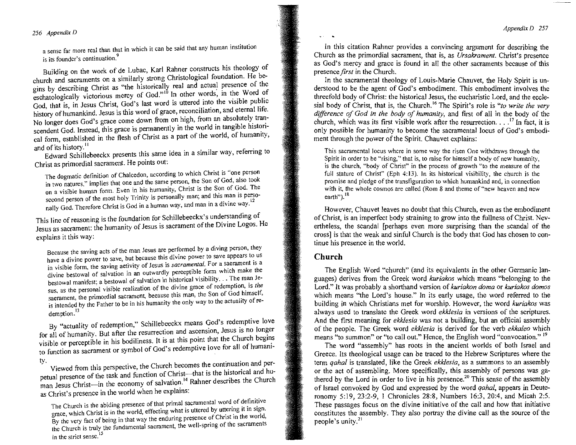#### *256 Appendix D*

**a sense far more rea! than that in which it can be said that any human institution is its four-** continue that that  $\frac{9}{2}$ 

is its founder's continuation.<sup>9</sup><br>Building on the work of de Lubac, Karl Rahner constructs his theology of church and sacraments on a similarly strong Christological foundation. He begins by describing Christ as "the historically real and actual presence of the eschatologically victorious mercy of God."<sup>10</sup> In other words, in the Word of God, that is, in Jesus Christ, God's last word is uttered into the visible public history of humankind. Jesus is this word of grace, reconciliation, and eternal life. No longer does God's grace come down from on high, from an absolutely transcendent God. Instead, this grace is permanently in the world in tangible historicendent God. Instead, this grace is permanently in the world, in the species  $\frac{1}{2}$ and of  $\ln$ ,  $\frac{1}{2}$  is  $\ln \frac{1}{2}$ 

and of its history.<sup>11</sup><br>Edward Schillebeeckx presents this same idea in a similar way, referring to Christ as primordial sacrament. He points out:

**The dogmatic definition of Chalcedon, according to which Christ is «one person in algebra of the Chalcedon, according to write the same person from the same person, the Son of God, also took** in two natures," implies that one and the same person, the Son of God, also took on a visible human form. Even in his humanity, Christ is the Son of God. The **second person of the most holy Trinity is personally man; and this man is perso**nally God. Therefore Christ is God in a human way, and man in a divine way,<sup>12</sup>

This line of reasoning is the foundation for Schillebeeckx's understanding of his line of reasoning is the foundation for Scinnebecck standardings of the Divine Logos. He  $\frac{1}{2}$ s is sacrament. In

**Because the saving acts** of the **man Jesus are performed by a diving person, they**  ecause the saving acts of the man Jesus are performed by a diving process to us are a divine power to save, but because this divine power to save appear  $\frac{1}{2}$ . I visible form, the saving activity of Jesus is *sacrimental*:  $\alpha$  or which make the ivine bestowal of salvation in an outwardly perceptible form which make the estowal manifest; a bestowal of salvation in instance realization, is the *state in* is, as the personal visible realization of the divide grace of God himself, saerament, the primordial sacrament, because this man, the Son of God himself, is intended by the Father to be in his humanity the only way to the actuality of redemption.<sup>13</sup>

By "actuality of redemption," Schillebeeckx means God's redemptive love for all of humanity. But after the resurrection and ascension, Jesus is no longer visible or perceptible in his bodiliness. It is at this point that the Church begins to function as sacrament or symbol of God's redemptive love for all of humani-

ty. Viewed from this perspective, the Church becomes the continuation and per-Viewed from this perspective, the Christ-theories are continuum to the task and huetual presence of the task and function of Christ-line is the instolled and he church man Jesus Christ—in the economy of salvation.<sup>14</sup> Rahner describes the Church as Christ's presence in the world when he explains:

**The Church is the abiding presence of that primal sacramental word of definitive**  he Church is the abiding presence of that primal sacramental world of definition race, which Christ is in the world, effecting what is ducted by difficult was the world. **the very fact of being in that way the chuming presence of cancer at the sacraments in the strict sense. !5** 

In this citation Rahner provides a convincing argument for describing the Church as the primordial sacrament, that is, as *Ursakrament.* Christ's presence as God's mercy and grace is found in all the other sacraments because of this presence *first* in the Church.

In the sacramental theology of Louis-Marie Chauvet, the Holy Spirit is understood to be the agent of God's embodiment. This embodiment involves the threefold body of Christ: the historical Jesus, the eucharistic Lord, and the ecclesial body of Christ, that is, the Church. \6 The Spirit's role is *"to write the very difference of God in the body of humanity,* and first of all in the body of the *difference of God in the body of humanity*, and first of all in the body of the hurch which was its first visible work after the resurrection.  $17 \text{ In fact, it is}$ church, which was its first visible work after the resurrection.  $\ldots$ <sup>17</sup> In fact, it is only possible for humanity to become the sacramental locus of God's embodiment through the power of the Spirit. Chauvet explains:

**This sacramental locus where in some way the risen One withdraws through the Spirit in Spirit in order to some way the fised One withdraws through the** Spirit in order to be "rising," that is, to raise for himself a body of new humanity. is the church, "body of Christ" in the process of growth "to the measure of the full stature of Christ" (Eph 4:13). In its historical visibility, the church is the **with it, the whole cosmos are called (Rom 8 and theme of "new heaven and new**  earth").<sup>18</sup>

However, Chauvet leaves no doubt that this Church, even as the embodiment of Christ, is an imperfect body straining to grow into the fullness of Christ. Nevertheless, the scandal [perhaps even more surprising than the scandal of the rtheless, the scandal [perhaps even more surprising than the scandal of the<br>recal is that the weak and sinful Church is the body that God has chosen to concross] is that the weak and sinful Church is the body that God has chosen to continue his presence in the world.

#### **Church**

The English Word "church" (and its equivalents in the other Germanic languages) derives from the Greek word *kuriakos* which means "belonging to the Lord." It was probably a shorthand version of *kuriakon doma* or *kuriakos domos*  which means "the Lord's house." In its early usage, the word referred to the building in which Christians met for worship. However, the word *kuriakos* was always used to translate the Greek word *ekk/esia* in versions of the scriptures. And the first meaning for *ekklesia* was not a building, but an official assembly of the people. The Greek word *ekklesia* is derived for the verb *ekkaleo* which  $\frac{m}{\epsilon}$  and  $\frac{m}{\epsilon}$  is the call of  $\frac{m}{\epsilon}$ . The English word is  $\frac{m}{\epsilon}$  in  $\frac{m}{\epsilon}$  in  $\frac{m}{\epsilon}$  is  $\frac{m}{\epsilon}$  in  $\frac{m}{\epsilon}$  in  $\frac{m}{\epsilon}$  is  $\frac{m}{\epsilon}$  in  $\frac{m}{\epsilon}$  in  $\frac{m}{\epsilon}$  is  $\frac{m}{\epsilon}$  in  $\frac{m}{\epsilon$ The word "as to summon" or to can out. Hence, the engines word convocation.

The word "assembly" has roots in the ancient worlds of both Israel and Greece. Its theological usage can be traced to the Hebrew Scriptures where the term *qahal* is translated, like the Greek *ekk/esia,* as a summons to an assembly or the act of assembling. More specifically, this assembly of persons was gathered by the Lord in order to live in his presence.<sup>20</sup> This sense of the assembly of Israel convoked by God and expressed by the word *qahal,* appears in Deuteronomy 5:19,23:2-9, I Chronicles 28:8, Numbers 16:3,20:4, and Micah 2:5. These passages focus on the divine initiative of the call and how that initiative constitutes the assembly. They also portray the divine call as the source of the people's unity.<sup>21</sup>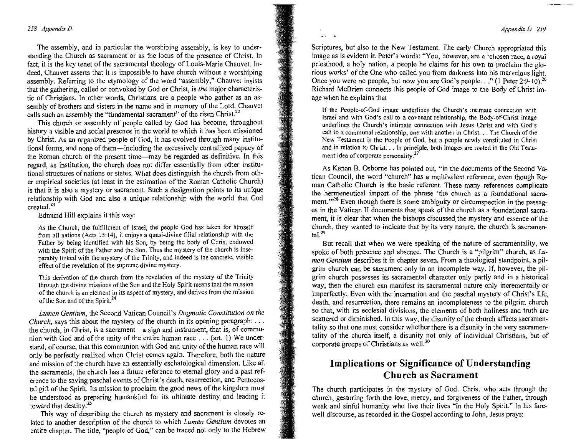#### *Appendix 0 259*

#### *258 Appendix D*

The assembly, and in particular the worshiping assembly, is key to understanding the Church as sacrament or as the locus of the presence of Christ. In fact, it is the key tenet of the sacramental theology of Louis-Marie Chauvet. Indeed, Chauvet asserts that it is impossible to have church without a worshiping assembly. Referring to the etymology of the word "assembly," Chauvet insists that the gathering, called or convoked by God or Christ, is *the* major characteristic of Christians. In other words, Christians are a people who gather as an assembly of brothers and sisters in the name and in memory of the Lord. Chauvet calls such an assembly the "fundamental sacrament" of the risen Christ.<sup>22</sup>

This church or assembly of people called by God has become, throughout history a visible and social presence in the world to which it has been missioned by Christ. As an organized people of God, it has evolved through many institutional forms, and none of them-including the excessively centralized papacy of the Roman church of the present time--may be regarded as definitive. In this regard, as institution, the church does not differ essentially from other institutional structures of nations or states. What does distinguish the church from other empirical societies (at least in the estimation of the Roman Catholic Church) is that it is also a mystery or sacrament. Such a designation points to its unique relationship with God and also a unique relationship with the world that God **created.<sup>23</sup>**

Edmund Hill explains it this way:

**As the Church, the fulfillment of Israel, the people God has taken for himself from all nations (Acts 15:14), it enjoys a quasi-divine filial relationship with the**  Father by being identified with his Son, by being the body of Christ endowed **with the Spirit of the Father and the Son. Thus the mystery of the church is inseparably linked with the mystery** of the **Trinity, and indeed is the concrete, visible effect** of the **revelation of the supreme divine mystery.** 

**This derivation of the church from the revelation of the mystery of the Trinity through the divine missions** of the **Son and the Holy Spirit means that the mission**  of the **church is an element in its aspect** of mystery, **and derives from the mission**  of the **Son and** of the **Spirit.<sup>24</sup>**

*Lumen Gentium,* the Second Vatican Council's *Dogmatic Constitution on the Church*, says this about the mystery of the church in its opening paragraph: ... the church, in Christ, is a sacrament-a sign and instrument, that is, of communion with God and of the unity of the entire human race . . . (art. 1) We understand, of course, that this communion with God and unity of the human race will only be perfectly realized when Christ comes again. Therefore, both the nature and mission of the church have an essentially eschatological dimension. Like all the sacraments, the church has a future reference to eternal glory and a past reference to the saving paschal events of Christ's death, resurrection, and Pentecostal gift of the Spirit. Its mission to proclaim the good news of the kingdom must be understood as preparing humankind for its ultimate destiny' and leading it toward that destiny.<sup>25</sup>

This way of describing the church as mystery and sacrament is closely related to another description of the church to which *Lumen Gentium* devotes an entire chapter. The title, "people of God," can be traced not only to the Hebrew

Scriptures, but also to the New Testament. The early Church appropriated this **image as is evident in Peter's words: "You, however, are a 'chosen race, a royal**  priesthood, a holy nation, a people he claims for his own to proclaim the glorious works' of the One who called you from darkness into his marvelous light. Once you were no people, but now you are God's people. . ." (1 Peter 2:9-10).<sup>26</sup> Richard McBrien connects this people of God image to the Body of Christ image when he explains that

**If the PeopJe-of-God image underlines the Church's intimate connection with Israel and with God's call to a covenant relationship, the Body-of-Christ image underlines the Church's intimate connection with Jesus Christ and with God's call to a communal relationship, one \ .... ith another in Christ .** .. **The Church of the New Testament is the People of God, but a people newly constituted in Christ and in relation to Christ .** .. **In principle, both images are rooted in the Old Testa**ment idea of corporate personality.<sup>27</sup>

As Kenan B. Osborne has pointed out, "in the documents of the Second Va**tican Council, the word "church" has a multivalent reference, even though Ro**man Catholic Church is the basic referent. These many references complicate the hermeneutical import of the phrase 'the church as a foundational sacrament."<sup>28</sup> Even though there is some ambiguity or circumspection in the passages in the Vatican II documents that speak of the church as a foundational sacrament, it is clear that when the bishops discussed the mystery and essence of the church, they wanted to indicate that by its very nature, the church is sacramental $^{29}$ 

But recall that when we were speaking of the nature of sacramentality, we spoke of both presence and absence. The Church is a "pilgrim" church, as *Lumen Gentium* describes it in chapter seven. From a theological standpoint, a pilgrim church can be sacrament only in an incomplete way. If, however, the pilgrim church possesses its sacramental character only partly and in a historical way, then the church can manifest its sacramental nature only incrementally or imperfectly. Even with the incarnation and the paschal mystery of Christ's life, **death, and resurrection, there remains an incompleteness to the pilgrim church**  so that, with its ecclesial divisions, the elements of both holiness and truth are scattered or diminished. In this way, the disunity of the church affects sacramentality so that one must consider whether there is a disunity in the very sacramentality of the church itself, a disunity not only of individual Christians, but of corporate groups of Christians as well.<sup>30</sup>

## **1m plications or Significance of Understanding Church as Sacrament**

The church participates in the mystery of God. Christ who acts through the church, gesturing forth the love, mercy, and forgiveness of the Father, through weak and sinful humanity who live their lives "in the Holy Spirit." In his farewell discourse, as recorded in the Gospel according to John, Jesus prays: